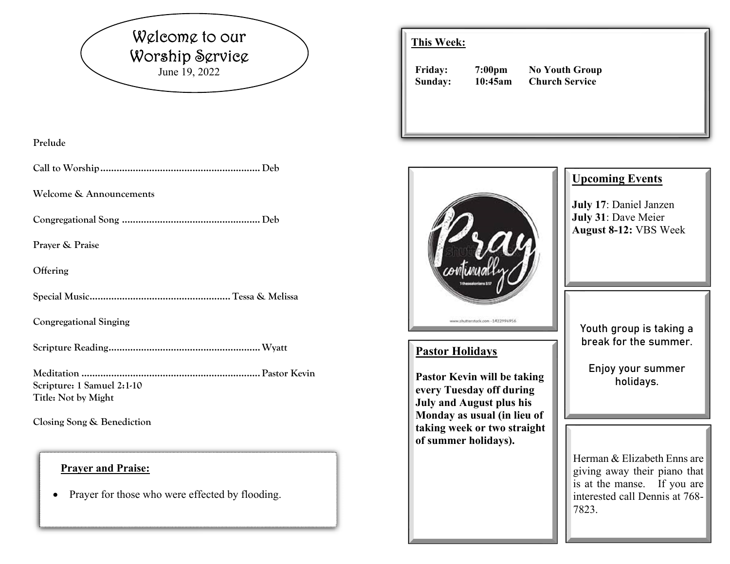# Welcome to our Worship Service June 19, 2022

#### **Prelude**

**Call to Worship ........................................................... Deb** 

**Welcome & Announcements** 

**Congregational Song ................................................... Deb** 

**Prayer & Praise** 

**Offering** 

**Special Music .................................................... Tessa & Melissa** 

**Congregational Singing** 

**Scripture Reading ........................................................ Wyatt** 

**Meditation .................................................................. Pastor Kevin Scripture: 1 Samuel 2:1-10 Title: Not by Might** 

**Closing Song & Benediction** 

#### **Prayer and Praise:**

 $\bullet$ Prayer for those who were effected by flooding.

### **This Week:**

**Friday: 7:00pm No Youth Group Sunday: 10:45am Church Service** 



7823.